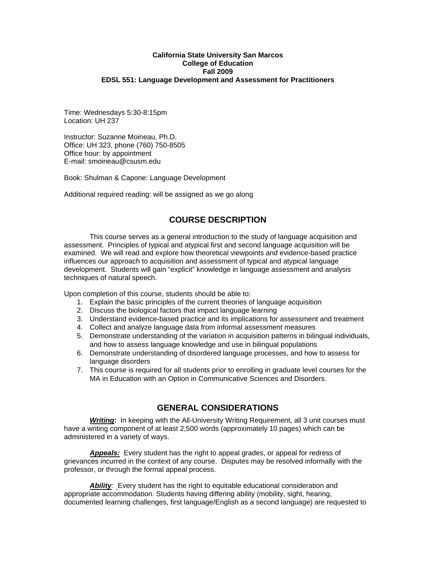#### **California State University San Marcos College of Education Fall 2009 EDSL 551: Language Development and Assessment for Practitioners**

Time: Wednesdays 5:30-8:15pm Location: UH 237

Instructor: Suzanne Moineau, Ph.D. Office: UH 323, phone (760) 750-8505 Office hour: by appointment E-mail: smoineau@csusm.edu

Book: Shulman & Capone: Language Development

Additional required reading: will be assigned as we go along

## **COURSE DESCRIPTION**

This course serves as a general introduction to the study of language acquisition and assessment. Principles of typical and atypical first and second language acquisition will be examined. We will read and explore how theoretical viewpoints and evidence-based practice influences our approach to acquisition and assessment of typical and atypical language development. Students will gain "explicit" knowledge in language assessment and analysis techniques of natural speech.

Upon completion of this course, students should be able to:

- 1. Explain the basic principles of the current theories of language acquisition
- 2. Discuss the biological factors that impact language learning
- 3. Understand evidence-based practice and its implications for assessment and treatment
- 4. Collect and analyze language data from informal assessment measures
- 5. Demonstrate understanding of the variation in acquisition patterns in bilingual individuals, and how to assess language knowledge and use in bilingual populations
- 6. Demonstrate understanding of disordered language processes, and how to assess for language disorders
- 7. This course is required for all students prior to enrolling in graduate level courses for the MA in Education with an Option in Communicative Sciences and Disorders.

## **GENERAL CONSIDERATIONS**

**Writing:** In keeping with the All-University Writing Requirement, all 3 unit courses must have a writing component of at least 2,500 words (approximately 10 pages) which can be administered in a variety of ways.

*Appeals:* Every student has the right to appeal grades, or appeal for redress of grievances incurred in the context of any course. Disputes may be resolved informally with the professor, or through the formal appeal process.

Ability: Every student has the right to equitable educational consideration and appropriate accommodation. Students having differing ability (mobility, sight, hearing, documented learning challenges, first language/English as a second language) are requested to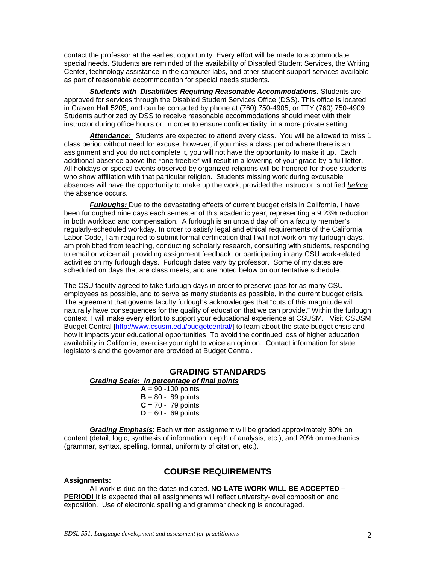contact the professor at the earliest opportunity. Every effort will be made to accommodate special needs. Students are reminded of the availability of Disabled Student Services, the Writing Center, technology assistance in the computer labs, and other student support services available as part of reasonable accommodation for special needs students.

*Students with Disabilities Requiring Reasonable Accommodations.* Students are approved for services through the Disabled Student Services Office (DSS). This office is located in Craven Hall 5205, and can be contacted by phone at (760) 750-4905, or TTY (760) 750-4909. Students authorized by DSS to receive reasonable accommodations should meet with their instructor during office hours or, in order to ensure confidentiality, in a more private setting.

*Attendance:* Students are expected to attend every class. You will be allowed to miss 1 class period without need for excuse, however, if you miss a class period where there is an assignment and you do not complete it, you will not have the opportunity to make it up. Each additional absence above the \*one freebie\* will result in a lowering of your grade by a full letter. All holidays or special events observed by organized religions will be honored for those students who show affiliation with that particular religion. Students missing work during excusable absences will have the opportunity to make up the work, provided the instructor is notified *before*  the absence occurs.

*Furloughs:* Due to the devastating effects of current budget crisis in California, I have been furloughed nine days each semester of this academic year, representing a 9.23% reduction in both workload and compensation. A furlough is an unpaid day off on a faculty member's regularly-scheduled workday. In order to satisfy legal and ethical requirements of the California Labor Code, I am required to submit formal certification that I will not work on my furlough days. I am prohibited from teaching, conducting scholarly research, consulting with students, responding to email or voicemail, providing assignment feedback, or participating in any CSU work-related activities on my furlough days. Furlough dates vary by professor. Some of my dates are scheduled on days that are class meets, and are noted below on our tentative schedule.

The CSU faculty agreed to take furlough days in order to preserve jobs for as many CSU employees as possible, and to serve as many students as possible, in the current budget crisis. The agreement that governs faculty furloughs acknowledges that "cuts of this magnitude will naturally have consequences for the quality of education that we can provide." Within the furlough context, I will make every effort to support your educational experience at CSUSM. Visit CSUSM Budget Central [http://www.csusm.edu/budgetcentral/] to learn about the state budget crisis and how it impacts your educational opportunities. To avoid the continued loss of higher education availability in California, exercise your right to voice an opinion. Contact information for state legislators and the governor are provided at Budget Central.

## **GRADING STANDARDS**

#### *Grading Scale: In percentage of final points*

 $A = 90 - 100$  points  $B = 80 - 89$  points  $C = 70 - 79$  points  $D = 60 - 69$  points

*Grading Emphasis*: Each written assignment will be graded approximately 80% on content (detail, logic, synthesis of information, depth of analysis, etc.), and 20% on mechanics (grammar, syntax, spelling, format, uniformity of citation, etc.).

## **COURSE REQUIREMENTS**

**Assignments:** 

All work is due on the dates indicated. **NO LATE WORK WILL BE ACCEPTED – PERIOD!** It is expected that all assignments will reflect university-level composition and exposition. Use of electronic spelling and grammar checking is encouraged.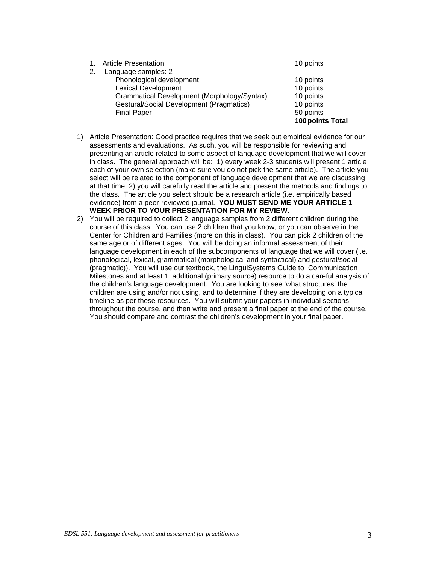|    |                                                 | 100 points Total |
|----|-------------------------------------------------|------------------|
|    | <b>Final Paper</b>                              | 50 points        |
|    | <b>Gestural/Social Development (Pragmatics)</b> | 10 points        |
|    | Grammatical Development (Morphology/Syntax)     | 10 points        |
|    | <b>Lexical Development</b>                      | 10 points        |
|    | Phonological development                        | 10 points        |
| 2. | Language samples: 2                             |                  |
|    | 1. Article Presentation                         | 10 points        |
|    |                                                 |                  |

- evidence) from a peer-reviewed journal. **YOU MUST SEND ME YOUR ARTICLE 1**  1) Article Presentation: Good practice requires that we seek out empirical evidence for our assessments and evaluations. As such, you will be responsible for reviewing and presenting an article related to some aspect of language development that we will cover in class. The general approach will be: 1) every week 2-3 students will present 1 article each of your own selection (make sure you do not pick the same article). The article you select will be related to the component of language development that we are discussing at that time; 2) you will carefully read the article and present the methods and findings to the class. The article you select should be a research article (i.e. empirically based **WEEK PRIOR TO YOUR PRESENTATION FOR MY REVIEW**.
- You should compare and contrast the children's development in your final paper. 2) You will be required to collect 2 language samples from 2 different children during the course of this class. You can use 2 children that you know, or you can observe in the Center for Children and Families (more on this in class). You can pick 2 children of the same age or of different ages. You will be doing an informal assessment of their language development in each of the subcomponents of language that we will cover (i.e. phonological, lexical, grammatical (morphological and syntactical) and gestural/social (pragmatic)). You will use our textbook, the LinguiSystems Guide to Communication Milestones and at least 1 additional (primary source) resource to do a careful analysis of the children's language development. You are looking to see 'what structures' the children are using and/or not using, and to determine if they are developing on a typical timeline as per these resources. You will submit your papers in individual sections throughout the course, and then write and present a final paper at the end of the course.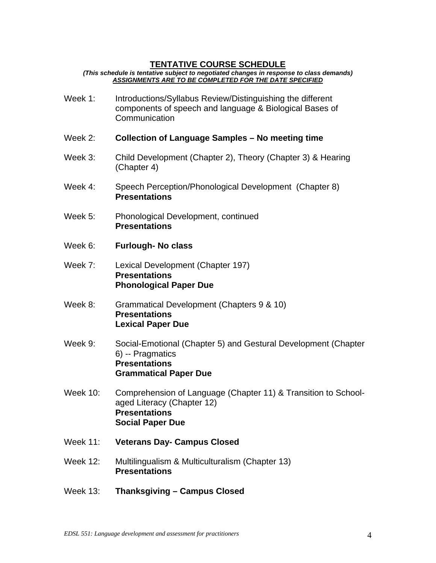# **TENTATIVE COURSE SCHEDULE**

*(This schedule is tentative subject to negotiated changes in response to class demands) ASSIGNMENTS ARE TO BE COMPLETED FOR THE DATE SPECIFIED* 

| Week 1:         | Introductions/Syllabus Review/Distinguishing the different<br>components of speech and language & Biological Bases of<br>Communication          |  |
|-----------------|-------------------------------------------------------------------------------------------------------------------------------------------------|--|
| Week 2:         | <b>Collection of Language Samples - No meeting time</b>                                                                                         |  |
| Week 3:         | Child Development (Chapter 2), Theory (Chapter 3) & Hearing<br>(Chapter 4)                                                                      |  |
| Week 4:         | Speech Perception/Phonological Development (Chapter 8)<br><b>Presentations</b>                                                                  |  |
| Week 5:         | Phonological Development, continued<br><b>Presentations</b>                                                                                     |  |
| Week 6:         | <b>Furlough- No class</b>                                                                                                                       |  |
| Week 7:         | Lexical Development (Chapter 197)<br><b>Presentations</b><br><b>Phonological Paper Due</b>                                                      |  |
| Week 8:         | Grammatical Development (Chapters 9 & 10)<br><b>Presentations</b><br><b>Lexical Paper Due</b>                                                   |  |
| Week 9:         | Social-Emotional (Chapter 5) and Gestural Development (Chapter<br>6) -- Pragmatics<br><b>Presentations</b><br><b>Grammatical Paper Due</b>      |  |
| <b>Week 10:</b> | Comprehension of Language (Chapter 11) & Transition to School-<br>aged Literacy (Chapter 12)<br><b>Presentations</b><br><b>Social Paper Due</b> |  |
| <b>Week 11:</b> | <b>Veterans Day- Campus Closed</b>                                                                                                              |  |
| <b>Week 12:</b> | Multilingualism & Multiculturalism (Chapter 13)<br><b>Presentations</b>                                                                         |  |
| <b>Week 13:</b> | Thanksgiving - Campus Closed                                                                                                                    |  |